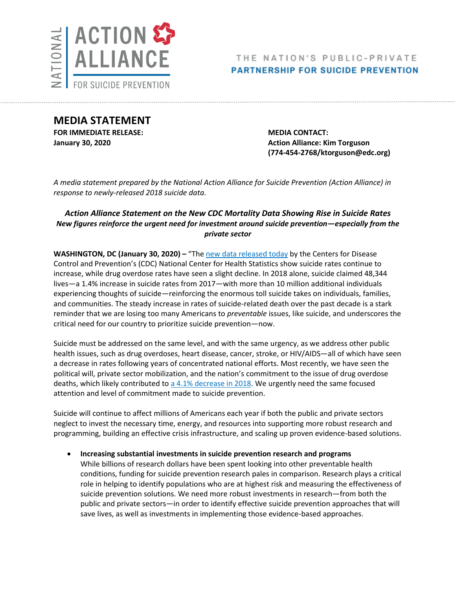

# THE NATION'S PUBLIC-PRIVATE **PARTNERSHIP FOR SUICIDE PREVENTION**

**MEDIA STATEMENT FOR IMMEDIATE RELEASE: MEDIA CONTACT:**

**January 30, 2020 Action Alliance: Kim Torguson Action Alliance: Kim Torguson (774-454-2768/ktorguson@edc.org)**

*A media statement prepared by the National Action Alliance for Suicide Prevention (Action Alliance) in response to newly-released 2018 suicide data.*

# *Action Alliance Statement on the New CDC Mortality Data Showing Rise in Suicide Rates New figures reinforce the urgent need for investment around suicide prevention—especially from the private sector*

**WASHINGTON, DC (January 30, 2020) – "The [new data released today](https://www.cdc.gov/nchs/products/databriefs/db355.htm) by the Centers for Disease** Control and Prevention's (CDC) National Center for Health Statistics show suicide rates continue to increase, while drug overdose rates have seen a slight decline. In 2018 alone, suicide claimed 48,344 lives—a 1.4% increase in suicide rates from 2017—with more than 10 million additional individuals experiencing thoughts of suicide—reinforcing the enormous toll suicide takes on individuals, families, and communities. The steady increase in rates of suicide-related death over the past decade is a stark reminder that we are losing too many Americans to *preventable* issues, like suicide, and underscores the critical need for our country to prioritize suicide prevention—now.

Suicide must be addressed on the same level, and with the same urgency, as we address other public health issues, such as drug overdoses, heart disease, cancer, stroke, or HIV/AIDS—all of which have seen a decrease in rates following years of concentrated national efforts. Most recently, we have seen the political will, private sector mobilization, and the nation's commitment to the issue of drug overdose deaths, which likely contributed to  $a$  [4.1% decrease](https://www.cdc.gov/nchs/products/databriefs/db356.htm) in 2018. We urgently need the same focused attention and level of commitment made to suicide prevention.

Suicide will continue to affect millions of Americans each year if both the public and private sectors neglect to invest the necessary time, energy, and resources into supporting more robust research and programming, building an effective crisis infrastructure, and scaling up proven evidence-based solutions.

 **Increasing substantial investments in suicide prevention research and programs** While billions of research dollars have been spent looking into other preventable health conditions, funding for suicide prevention research pales in comparison. Research plays a critical role in helping to identify populations who are at highest risk and measuring the effectiveness of suicide prevention solutions. We need more robust investments in research—from both the public and private sectors—in order to identify effective suicide prevention approaches that will save lives, as well as investments in implementing those evidence-based approaches.